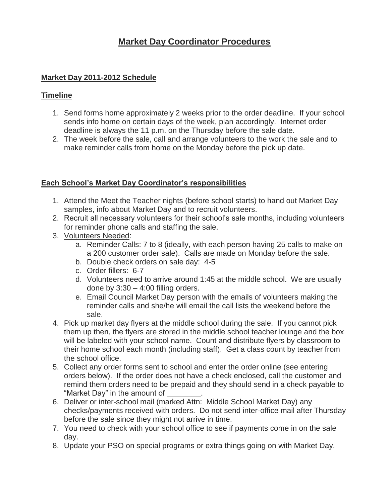# **Market Day Coordinator Procedures**

## **Market Day 2011-2012 Schedule**

## **Timeline**

- 1. Send forms home approximately 2 weeks prior to the order deadline. If your school sends info home on certain days of the week, plan accordingly. Internet order deadline is always the 11 p.m. on the Thursday before the sale date.
- 2. The week before the sale, call and arrange volunteers to the work the sale and to make reminder calls from home on the Monday before the pick up date.

### **Each School's Market Day Coordinator's responsibilities**

- 1. Attend the Meet the Teacher nights (before school starts) to hand out Market Day samples, info about Market Day and to recruit volunteers.
- 2. Recruit all necessary volunteers for their school's sale months, including volunteers for reminder phone calls and staffing the sale.
- 3. Volunteers Needed:
	- a. Reminder Calls: 7 to 8 (ideally, with each person having 25 calls to make on a 200 customer order sale). Calls are made on Monday before the sale.
	- b. Double check orders on sale day: 4-5
	- c. Order fillers: 6-7
	- d. Volunteers need to arrive around 1:45 at the middle school. We are usually done by  $3:30 - 4:00$  filling orders.
	- e. Email Council Market Day person with the emails of volunteers making the reminder calls and she/he will email the call lists the weekend before the sale.
- 4. Pick up market day flyers at the middle school during the sale. If you cannot pick them up then, the flyers are stored in the middle school teacher lounge and the box will be labeled with your school name. Count and distribute flyers by classroom to their home school each month (including staff). Get a class count by teacher from the school office.
- 5. Collect any order forms sent to school and enter the order online (see entering orders below). If the order does not have a check enclosed, call the customer and remind them orders need to be prepaid and they should send in a check payable to "Market Day" in the amount of
- 6. Deliver or inter-school mail (marked Attn: Middle School Market Day) any checks/payments received with orders. Do not send inter-office mail after Thursday before the sale since they might not arrive in time.
- 7. You need to check with your school office to see if payments come in on the sale day.
- 8. Update your PSO on special programs or extra things going on with Market Day.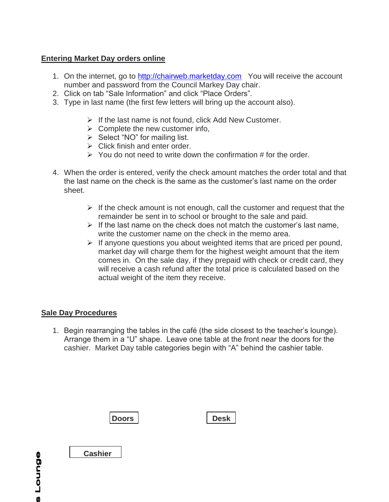## **Entering Market Day orders online**

- 1. On the internet, go to [http://chairweb.marketday.com](http://chairweb.marketday.com/) You will receive the account number and password from the Council Markey Day chair.
- 2. Click on tab "Sale Information" and click "Place Orders".
- 3. Type in last name (the first few letters will bring up the account also).
	- $\triangleright$  If the last name is not found, click Add New Customer.
	- $\triangleright$  Complete the new customer info,
	- $\triangleright$  Select "NO" for mailing list.
	- $\triangleright$  Click finish and enter order.
	- $\geq$  You do not need to write down the confirmation # for the order.
- 4. When the order is entered, verify the check amount matches the order total and that the last name on the check is the same as the customer's last name on the order sheet.
	- $\triangleright$  If the check amount is not enough, call the customer and request that the remainder be sent in to school or brought to the sale and paid.
	- $\triangleright$  If the last name on the check does not match the customer's last name. write the customer name on the check in the memo area.
	- $\triangleright$  If anyone questions you about weighted items that are priced per pound, market day will charge them for the highest weight amount that the item comes in. On the sale day, if they prepaid with check or credit card, they will receive a cash refund after the total price is calculated based on the actual weight of the item they receive.

## **Sale Day Procedures**

1. Begin rearranging the tables in the café (the side closest to the teacher's lounge). Arrange them in a "U" shape. Leave one table at the front near the doors for the cashier. Market Day table categories begin with "A" behind the cashier table.



**Cashier**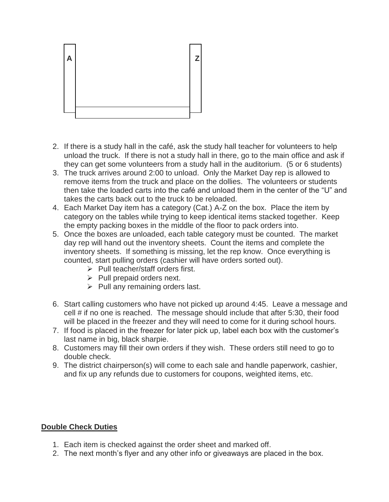

- 2. If there is a study hall in the café, ask the study hall teacher for volunteers to help unload the truck. If there is not a study hall in there, go to the main office and ask if they can get some volunteers from a study hall in the auditorium. (5 or 6 students)
- 3. The truck arrives around 2:00 to unload. Only the Market Day rep is allowed to remove items from the truck and place on the dollies. The volunteers or students then take the loaded carts into the café and unload them in the center of the "U" and takes the carts back out to the truck to be reloaded.
- 4. Each Market Day item has a category (Cat.) A-Z on the box. Place the item by category on the tables while trying to keep identical items stacked together. Keep the empty packing boxes in the middle of the floor to pack orders into.
- 5. Once the boxes are unloaded, each table category must be counted. The market day rep will hand out the inventory sheets. Count the items and complete the inventory sheets. If something is missing, let the rep know. Once everything is counted, start pulling orders (cashier will have orders sorted out).
	- $\triangleright$  Pull teacher/staff orders first.
	- $\triangleright$  Pull prepaid orders next.
	- $\triangleright$  Pull any remaining orders last.
- 6. Start calling customers who have not picked up around 4:45. Leave a message and cell # if no one is reached. The message should include that after 5:30, their food will be placed in the freezer and they will need to come for it during school hours.
- 7. If food is placed in the freezer for later pick up, label each box with the customer's last name in big, black sharpie.
- 8. Customers may fill their own orders if they wish. These orders still need to go to double check.
- 9. The district chairperson(s) will come to each sale and handle paperwork, cashier, and fix up any refunds due to customers for coupons, weighted items, etc.

#### **Double Check Duties**

- 1. Each item is checked against the order sheet and marked off.
- 2. The next month's flyer and any other info or giveaways are placed in the box.